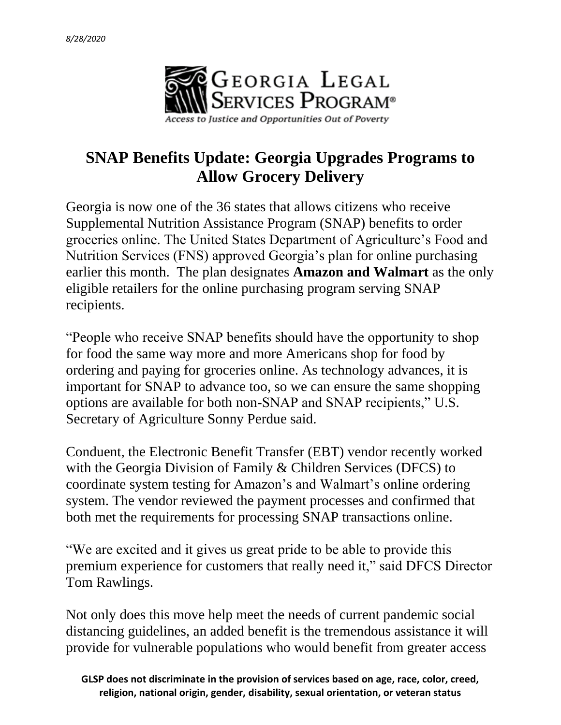

## **SNAP Benefits Update: Georgia Upgrades Programs to Allow Grocery Delivery**

Georgia is now one of the 36 states that allows citizens who receive Supplemental Nutrition Assistance Program (SNAP) benefits to order groceries online. The United States Department of Agriculture's Food and Nutrition Services (FNS) approved Georgia's plan for online purchasing earlier this month. The plan designates **Amazon and Walmart** as the only eligible retailers for the online purchasing program serving SNAP recipients.

"People who receive SNAP benefits should have the opportunity to shop for food the same way more and more Americans shop for food by ordering and paying for groceries online. As technology advances, it is important for SNAP to advance too, so we can ensure the same shopping options are available for both non-SNAP and SNAP recipients," U.S. Secretary of Agriculture Sonny Perdue said.

Conduent, the Electronic Benefit Transfer (EBT) vendor recently worked with the Georgia Division of Family & Children Services (DFCS) to coordinate system testing for Amazon's and Walmart's online ordering system. The vendor reviewed the payment processes and confirmed that both met the requirements for processing SNAP transactions online.

"We are excited and it gives us great pride to be able to provide this premium experience for customers that really need it," said DFCS Director Tom Rawlings.

Not only does this move help meet the needs of current pandemic social distancing guidelines, an added benefit is the tremendous assistance it will provide for vulnerable populations who would benefit from greater access

**GLSP does not discriminate in the provision of services based on age, race, color, creed, religion, national origin, gender, disability, sexual orientation, or veteran status**